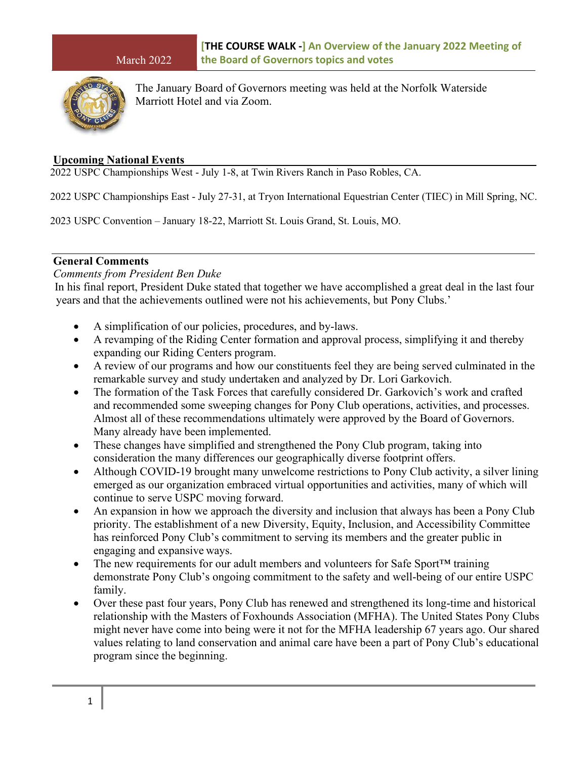

The January Board of Governors meeting was held at the Norfolk Waterside Marriott Hotel and via Zoom.

### **Upcoming National Events**

2022 USPC Championships West - July 1-8, at Twin Rivers Ranch in Paso Robles, CA.

2022 USPC Championships East - July 27-31, at Tryon International Equestrian Center (TIEC) in Mill Spring, NC.

2023 USPC Convention – January 18-22, Marriott St. Louis Grand, St. Louis, MO.

# **General Comments**

#### *Comments from President Ben Duke*

 In his final report, President Duke stated that together we have accomplished a great deal in the last four years and that the achievements outlined were not his achievements, but Pony Clubs.'

- A simplification of our policies, procedures, and by-laws.
- A revamping of the Riding Center formation and approval process, simplifying it and thereby expanding our Riding Centers program.
- A review of our programs and how our constituents feel they are being served culminated in the remarkable survey and study undertaken and analyzed by Dr. Lori Garkovich.
- The formation of the Task Forces that carefully considered Dr. Garkovich's work and crafted and recommended some sweeping changes for Pony Club operations, activities, and processes. Almost all of these recommendations ultimately were approved by the Board of Governors. Many already have been implemented.
- These changes have simplified and strengthened the Pony Club program, taking into consideration the many differences our geographically diverse footprint offers.
- Although COVID-19 brought many unwelcome restrictions to Pony Club activity, a silver lining emerged as our organization embraced virtual opportunities and activities, many of which will continue to serve USPC moving forward.
- An expansion in how we approach the diversity and inclusion that always has been a Pony Club priority. The establishment of a new Diversity, Equity, Inclusion, and Accessibility Committee has reinforced Pony Club's commitment to serving its members and the greater public in engaging and expansive ways.
- The new requirements for our adult members and volunteers for Safe Sport<sup>TM</sup> training demonstrate Pony Club's ongoing commitment to the safety and well-being of our entire USPC family.
- Over these past four years, Pony Club has renewed and strengthened its long-time and historical relationship with the Masters of Foxhounds Association (MFHA). The United States Pony Clubs might never have come into being were it not for the MFHA leadership 67 years ago. Our shared values relating to land conservation and animal care have been a part of Pony Club's educational program since the beginning.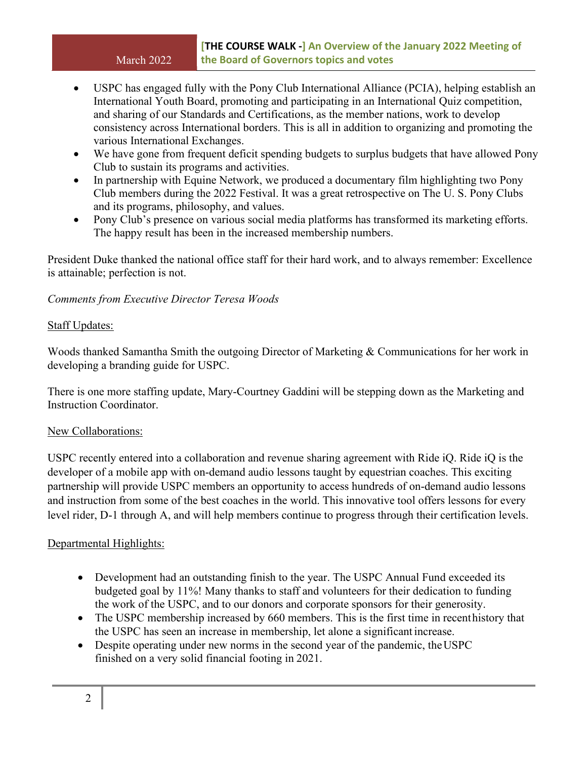- USPC has engaged fully with the Pony Club International Alliance (PCIA), helping establish an International Youth Board, promoting and participating in an International Quiz competition, and sharing of our Standards and Certifications, as the member nations, work to develop consistency across International borders. This is all in addition to organizing and promoting the various International Exchanges.
- We have gone from frequent deficit spending budgets to surplus budgets that have allowed Pony Club to sustain its programs and activities.
- In partnership with Equine Network, we produced a documentary film highlighting two Pony Club members during the 2022 Festival. It was a great retrospective on The U. S. Pony Clubs and its programs, philosophy, and values.
- Pony Club's presence on various social media platforms has transformed its marketing efforts. The happy result has been in the increased membership numbers.

President Duke thanked the national office staff for their hard work, and to always remember: Excellence is attainable; perfection is not.

## *Comments from Executive Director Teresa Woods*

## Staff Updates:

Woods thanked Samantha Smith the outgoing Director of Marketing & Communications for her work in developing a branding guide for USPC.

There is one more staffing update, Mary-Courtney Gaddini will be stepping down as the Marketing and Instruction Coordinator.

### New Collaborations:

USPC recently entered into a collaboration and revenue sharing agreement with Ride iQ. Ride iQ is the developer of a mobile app with on-demand audio lessons taught by equestrian coaches. This exciting partnership will provide USPC members an opportunity to access hundreds of on-demand audio lessons and instruction from some of the best coaches in the world. This innovative tool offers lessons for every level rider, D-1 through A, and will help members continue to progress through their certification levels.

# Departmental Highlights:

- Development had an outstanding finish to the year. The USPC Annual Fund exceeded its budgeted goal by 11%! Many thanks to staff and volunteers for their dedication to funding the work of the USPC, and to our donors and corporate sponsors for their generosity.
- The USPC membership increased by 660 members. This is the first time in recent history that the USPC has seen an increase in membership, let alone a significant increase.
- Despite operating under new norms in the second year of the pandemic, the USPC finished on a very solid financial footing in 2021.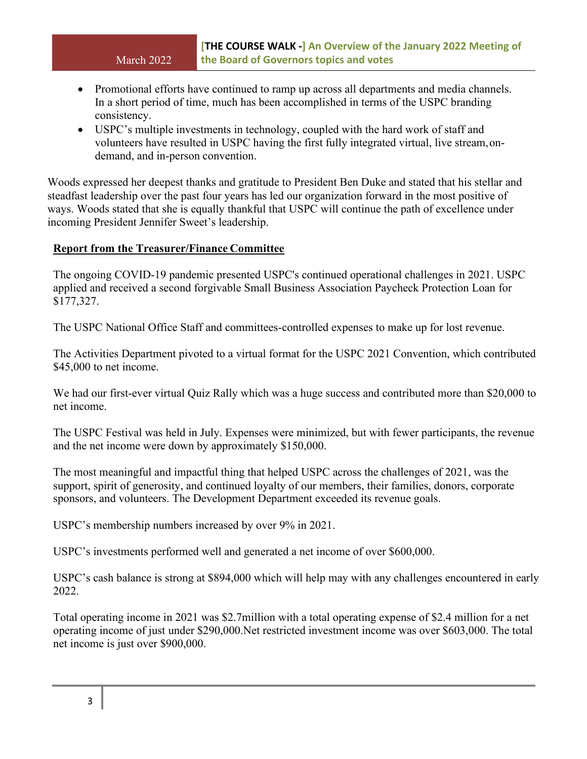- Promotional efforts have continued to ramp up across all departments and media channels. In a short period of time, much has been accomplished in terms of the USPC branding consistency.
- USPC's multiple investments in technology, coupled with the hard work of staff and volunteers have resulted in USPC having the first fully integrated virtual, live stream, ondemand, and in-person convention.

Woods expressed her deepest thanks and gratitude to President Ben Duke and stated that his stellar and steadfast leadership over the past four years has led our organization forward in the most positive of ways. Woods stated that she is equally thankful that USPC will continue the path of excellence under incoming President Jennifer Sweet's leadership.

## **Report from the Treasurer/Finance Committee**

The ongoing COVID-19 pandemic presented USPC's continued operational challenges in 2021. USPC applied and received a second forgivable Small Business Association Paycheck Protection Loan for \$177,327.

The USPC National Office Staff and committees-controlled expenses to make up for lost revenue.

The Activities Department pivoted to a virtual format for the USPC 2021 Convention, which contributed \$45,000 to net income.

We had our first-ever virtual Quiz Rally which was a huge success and contributed more than \$20,000 to net income.

The USPC Festival was held in July. Expenses were minimized, but with fewer participants, the revenue and the net income were down by approximately \$150,000.

The most meaningful and impactful thing that helped USPC across the challenges of 2021, was the support, spirit of generosity, and continued loyalty of our members, their families, donors, corporate sponsors, and volunteers. The Development Department exceeded its revenue goals.

USPC's membership numbers increased by over 9% in 2021.

USPC's investments performed well and generated a net income of over \$600,000.

USPC's cash balance is strong at \$894,000 which will help may with any challenges encountered in early 2022.

Total operating income in 2021 was \$2.7million with a total operating expense of \$2.4 million for a net operating income of just under \$290,000.Net restricted investment income was over \$603,000. The total net income is just over \$900,000.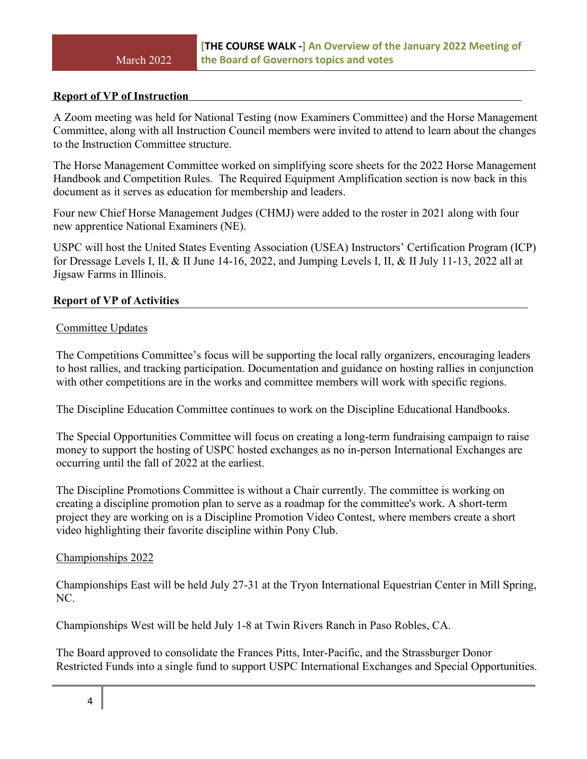#### **Report of VP of Instruction**

A Zoom meeting was held for National Testing (now Examiners Committee) and the Horse Management Committee, along with all Instruction Council members were invited to attend to learn about the changes to the Instruction Committee structure.

The Horse Management Committee worked on simplifying score sheets for the 2022 Horse Management Handbook and Competition Rules. The Required Equipment Amplification section is now back in this document as it serves as education for membership and leaders.

Four new Chief Horse Management Judges (CHMJ) were added to the roster in 2021 along with four new apprentice National Examiners (NE).

USPC will host the United States Eventing Association (USEA) Instructors' Certification Program (ICP) for Dressage Levels I, II, & II June 14-16, 2022, and Jumping Levels I, II, & II July 11-13, 2022 all at Jigsaw Farms in Illinois.

### **Report of VP of Activities**

#### Committee Updates

The Competitions Committee's focus will be supporting the local rally organizers, encouraging leaders to host rallies, and tracking participation. Documentation and guidance on hosting rallies in conjunction with other competitions are in the works and committee members will work with specific regions.

The Discipline Education Committee continues to work on the Discipline Educational Handbooks.

The Special Opportunities Committee will focus on creating a long-term fundraising campaign to raise money to support the hosting of USPC hosted exchanges as no in-person International Exchanges are occurring until the fall of 2022 at the earliest.

The Discipline Promotions Committee is without a Chair currently. The committee is working on creating a discipline promotion plan to serve as a roadmap for the committee's work. A short-term project they are working on is a Discipline Promotion Video Contest, where members create a short video highlighting their favorite discipline within Pony Club.

#### Championships 2022

Championships East will be held July 27-31 at the Tryon International Equestrian Center in Mill Spring, NC.

Championships West will be held July 1-8 at Twin Rivers Ranch in Paso Robles, CA.

The Board approved to consolidate the Frances Pitts, Inter-Pacific, and the Strassburger Donor Restricted Funds into a single fund to support USPC International Exchanges and Special Opportunities.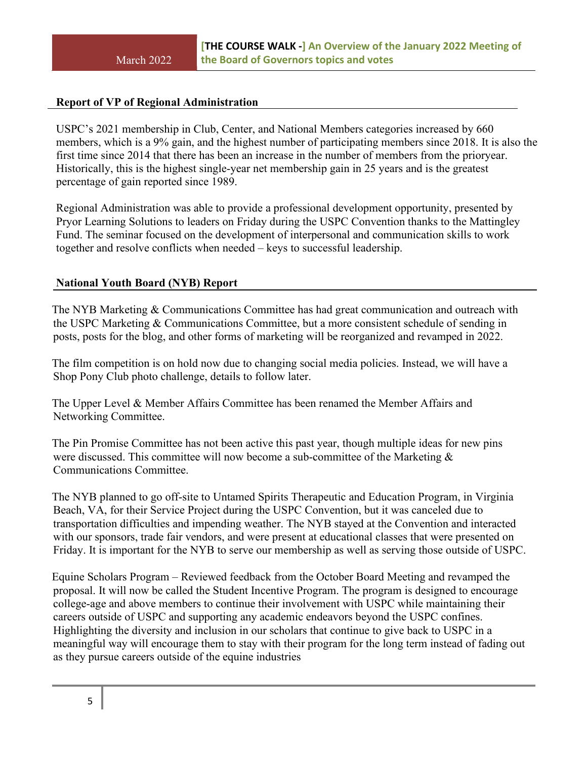## **Report of VP of Regional Administration**

USPC's 2021 membership in Club, Center, and National Members categories increased by 660 members, which is a 9% gain, and the highest number of participating members since 2018. It is also the first time since 2014 that there has been an increase in the number of members from the prioryear. Historically, this is the highest single-year net membership gain in 25 years and is the greatest percentage of gain reported since 1989.

Regional Administration was able to provide a professional development opportunity, presented by Pryor Learning Solutions to leaders on Friday during the USPC Convention thanks to the Mattingley Fund. The seminar focused on the development of interpersonal and communication skills to work together and resolve conflicts when needed – keys to successful leadership.

## **National Youth Board (NYB) Report**

The NYB Marketing & Communications Committee has had great communication and outreach with the USPC Marketing & Communications Committee, but a more consistent schedule of sending in posts, posts for the blog, and other forms of marketing will be reorganized and revamped in 2022.

The film competition is on hold now due to changing social media policies. Instead, we will have a Shop Pony Club photo challenge, details to follow later.

The Upper Level & Member Affairs Committee has been renamed the Member Affairs and Networking Committee.

The Pin Promise Committee has not been active this past year, though multiple ideas for new pins were discussed. This committee will now become a sub-committee of the Marketing & Communications Committee.

The NYB planned to go off-site to Untamed Spirits Therapeutic and Education Program, in Virginia Beach, VA, for their Service Project during the USPC Convention, but it was canceled due to transportation difficulties and impending weather. The NYB stayed at the Convention and interacted with our sponsors, trade fair vendors, and were present at educational classes that were presented on Friday. It is important for the NYB to serve our membership as well as serving those outside of USPC.

Equine Scholars Program – Reviewed feedback from the October Board Meeting and revamped the proposal. It will now be called the Student Incentive Program. The program is designed to encourage college-age and above members to continue their involvement with USPC while maintaining their careers outside of USPC and supporting any academic endeavors beyond the USPC confines. Highlighting the diversity and inclusion in our scholars that continue to give back to USPC in a meaningful way will encourage them to stay with their program for the long term instead of fading out as they pursue careers outside of the equine industries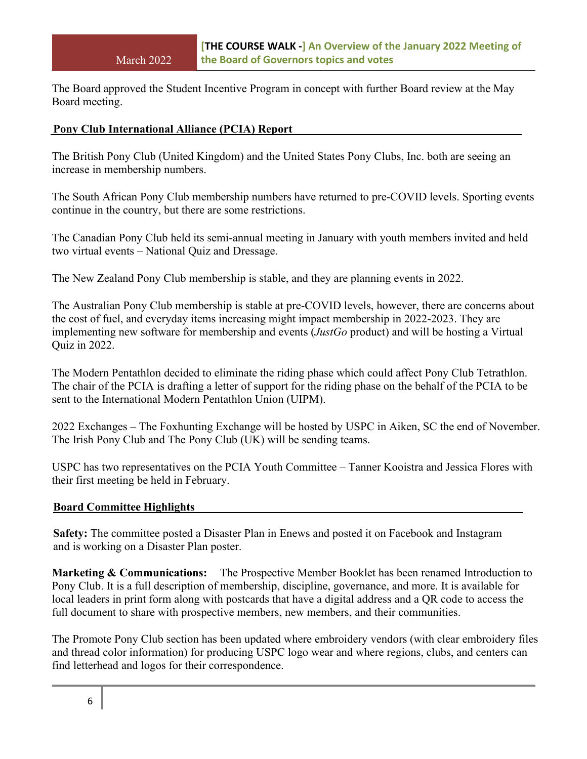The Board approved the Student Incentive Program in concept with further Board review at the May Board meeting.

### **Pony Club International Alliance (PCIA) Report**

The British Pony Club (United Kingdom) and the United States Pony Clubs, Inc. both are seeing an increase in membership numbers.

The South African Pony Club membership numbers have returned to pre-COVID levels. Sporting events continue in the country, but there are some restrictions.

The Canadian Pony Club held its semi-annual meeting in January with youth members invited and held two virtual events – National Quiz and Dressage.

The New Zealand Pony Club membership is stable, and they are planning events in 2022.

The Australian Pony Club membership is stable at pre-COVID levels, however, there are concerns about the cost of fuel, and everyday items increasing might impact membership in 2022-2023. They are implementing new software for membership and events (*JustGo* product) and will be hosting a Virtual Quiz in 2022.

The Modern Pentathlon decided to eliminate the riding phase which could affect Pony Club Tetrathlon. The chair of the PCIA is drafting a letter of support for the riding phase on the behalf of the PCIA to be sent to the International Modern Pentathlon Union (UIPM).

2022 Exchanges – The Foxhunting Exchange will be hosted by USPC in Aiken, SC the end of November. The Irish Pony Club and The Pony Club (UK) will be sending teams.

USPC has two representatives on the PCIA Youth Committee – Tanner Kooistra and Jessica Flores with their first meeting be held in February.

#### **Board Committee Highlights**

**Safety:** The committee posted a Disaster Plan in Enews and posted it on Facebook and Instagram and is working on a Disaster Plan poster.

**Marketing & Communications:** The Prospective Member Booklet has been renamed Introduction to Pony Club. It is a full description of membership, discipline, governance, and more. It is available for local leaders in print form along with postcards that have a digital address and a QR code to access the full document to share with prospective members, new members, and their communities.

The Promote Pony Club section has been updated where embroidery vendors (with clear embroidery files and thread color information) for producing USPC logo wear and where regions, clubs, and centers can find letterhead and logos for their correspondence.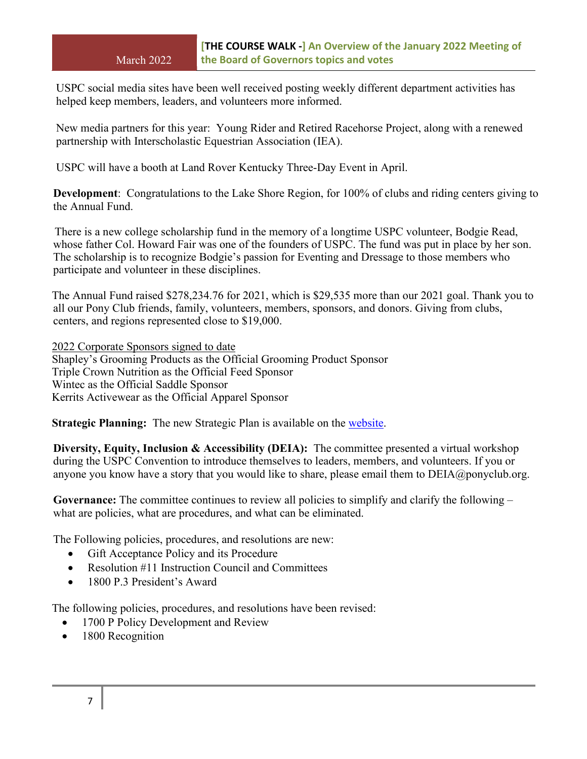USPC social media sites have been well received posting weekly different department activities has helped keep members, leaders, and volunteers more informed.

New media partners for this year: Young Rider and Retired Racehorse Project, along with a renewed partnership with Interscholastic Equestrian Association (IEA).

USPC will have a booth at Land Rover Kentucky Three-Day Event in April.

**Development**: Congratulations to the Lake Shore Region, for 100% of clubs and riding centers giving to the Annual Fund.

There is a new college scholarship fund in the memory of a longtime USPC volunteer, Bodgie Read, whose father Col. Howard Fair was one of the founders of USPC. The fund was put in place by her son. The scholarship is to recognize Bodgie's passion for Eventing and Dressage to those members who participate and volunteer in these disciplines.

The Annual Fund raised \$278,234.76 for 2021, which is \$29,535 more than our 2021 goal. Thank you to all our Pony Club friends, family, volunteers, members, sponsors, and donors. Giving from clubs, centers, and regions represented close to \$19,000.

2022 Corporate Sponsors signed to date Shapley's Grooming Products as the Official Grooming Product Sponsor Triple Crown Nutrition as the Official Feed Sponsor Wintec as the Official Saddle Sponsor Kerrits Activewear as the Official Apparel Sponsor

**Strategic Planning:** The new Strategic Plan is available on the [website.](https://www.ponyclub.org/About/OrganizationalDocs.aspx)

**Diversity, Equity, Inclusion & Accessibility (DEIA):** The committee presented a virtual workshop during the USPC Convention to introduce themselves to leaders, members, and volunteers. If you or anyone you know have a story that you would like to share, please email them to DEIA@ponyclub.org.

**Governance:** The committee continues to review all policies to simplify and clarify the following – what are policies, what are procedures, and what can be eliminated.

The Following policies, procedures, and resolutions are new:

- Gift Acceptance Policy and its Procedure
- Resolution #11 Instruction Council and Committees
- 1800 P.3 President's Award

The following policies, procedures, and resolutions have been revised:

- 1700 P Policy Development and Review
- 1800 Recognition